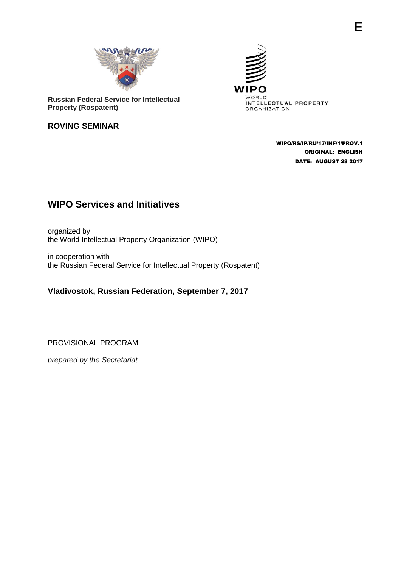

**Russian Federal Service for Intellectual Property (Rospatent)**

## **ROVING SEMINAR**



 WIPO/RS/IP/RU/17/INF/1/PROV.1 ORIGINAL: ENGLISH DATE: AUGUST 28 2017

## **WIPO Services and Initiatives**

organized by the World Intellectual Property Organization (WIPO)

in cooperation with the Russian Federal Service for Intellectual Property (Rospatent)

## **Vladivostok, Russian Federation, September 7, 2017**

PROVISIONAL PROGRAM

*prepared by the Secretariat*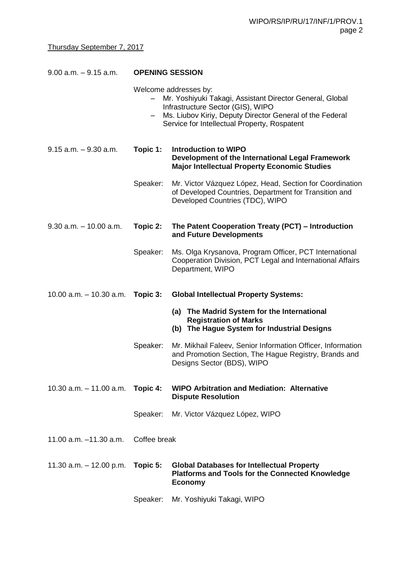| $9.00$ a.m. $-9.15$ a.m.                  | <b>OPENING SESSION</b> |                                                                                                                                                                                                                                    |
|-------------------------------------------|------------------------|------------------------------------------------------------------------------------------------------------------------------------------------------------------------------------------------------------------------------------|
|                                           | $\qquad \qquad -$      | Welcome addresses by:<br>Mr. Yoshiyuki Takagi, Assistant Director General, Global<br>Infrastructure Sector (GIS), WIPO<br>Ms. Liubov Kiriy, Deputy Director General of the Federal<br>Service for Intellectual Property, Rospatent |
| $9.15$ a.m. $-9.30$ a.m.                  | Topic 1:               | <b>Introduction to WIPO</b><br>Development of the International Legal Framework<br><b>Major Intellectual Property Economic Studies</b>                                                                                             |
|                                           | Speaker:               | Mr. Victor Vázquez López, Head, Section for Coordination<br>of Developed Countries, Department for Transition and<br>Developed Countries (TDC), WIPO                                                                               |
| $9.30$ a.m. $-10.00$ a.m.                 | Topic 2:               | The Patent Cooperation Treaty (PCT) - Introduction<br>and Future Developments                                                                                                                                                      |
|                                           | Speaker:               | Ms. Olga Krysanova, Program Officer, PCT International<br>Cooperation Division, PCT Legal and International Affairs<br>Department, WIPO                                                                                            |
| 10.00 a.m. $-$ 10.30 a.m. <b>Topic 3:</b> |                        | <b>Global Intellectual Property Systems:</b>                                                                                                                                                                                       |
|                                           |                        | (a) The Madrid System for the International<br><b>Registration of Marks</b><br>(b) The Hague System for Industrial Designs                                                                                                         |
|                                           | Speaker:               | Mr. Mikhail Faleev, Senior Information Officer, Information<br>and Promotion Section, The Hague Registry, Brands and<br>Designs Sector (BDS), WIPO                                                                                 |
| $10.30$ a.m. $-11.00$ a.m.                | Topic 4:               | <b>WIPO Arbitration and Mediation: Alternative</b><br><b>Dispute Resolution</b>                                                                                                                                                    |
|                                           | Speaker:               | Mr. Victor Vázquez López, WIPO                                                                                                                                                                                                     |
| 11.00 $a.m. -11.30 a.m.$                  | Coffee break           |                                                                                                                                                                                                                                    |
| 11.30 $a.m. - 12.00 p.m.$                 | Topic 5:               | <b>Global Databases for Intellectual Property</b><br><b>Platforms and Tools for the Connected Knowledge</b><br><b>Economy</b>                                                                                                      |
|                                           | Speaker:               | Mr. Yoshiyuki Takagi, WIPO                                                                                                                                                                                                         |